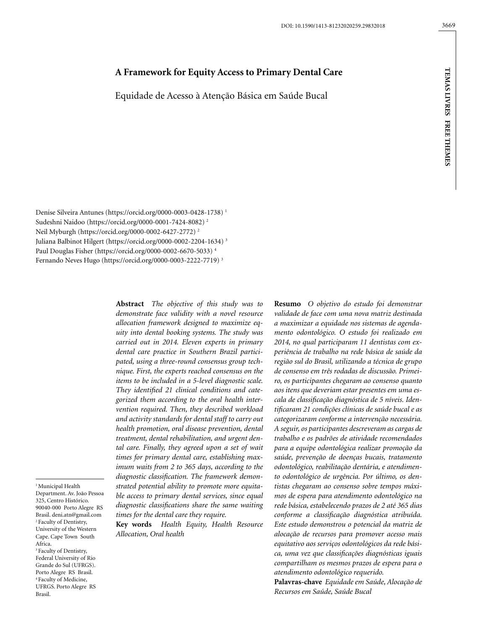# **A Framework for Equity Access to Primary Dental Care**

Equidade de Acesso à Atenção Básica em Saúde Bucal

Denise Silveira Antunes (https://orcid.org/0000-0003-0428-1738) 1 Sudeshni Naidoo (https://orcid.org/0000-0001-7424-8082) 2 Neil Myburgh (https://orcid.org/0000-0002-6427-2772) 2 Juliana Balbinot Hilgert (https://orcid.org/0000-0002-2204-1634) 3 Paul Douglas Fisher (https://orcid.org/0000-0002-6670-5033) 4 Fernando Neves Hugo (https://orcid.org/0000-0003-2222-7719) 3

> **Abstract** *The objective of this study was to demonstrate face validity with a novel resource allocation framework designed to maximize equity into dental booking systems. The study was carried out in 2014. Eleven experts in primary dental care practice in Southern Brazil participated, using a three-round consensus group technique. First, the experts reached consensus on the items to be included in a 5-level diagnostic scale. They identified 21 clinical conditions and categorized them according to the oral health intervention required. Then, they described workload and activity standards for dental staff to carry out health promotion, oral disease prevention, dental treatment, dental rehabilitation, and urgent dental care. Finally, they agreed upon a set of wait times for primary dental care, establishing maximum waits from 2 to 365 days, according to the diagnostic classification. The framework demonstrated potential ability to promote more equitable access to primary dental services, since equal diagnostic classifications share the same waiting times for the dental care they require.*

> **Key words** *Health Equity, Health Resource Allocation, Oral health*

**Resumo** *O objetivo do estudo foi demonstrar validade de face com uma nova matriz destinada a maximizar a equidade nos sistemas de agendamento odontológico. O estudo foi realizado em 2014, no qual participaram 11 dentistas com experiência de trabalho na rede básica de saúde da região sul do Brasil, utilizando a técnica de grupo de consenso em três rodadas de discussão. Primeiro, os participantes chegaram ao consenso quanto aos itens que deveriam estar presentes em uma escala de classificação diagnóstica de 5 níveis. Identificaram 21 condições clínicas de saúde bucal e as categorizaram conforme a intervenção necessária. A seguir, os participantes descreveram as cargas de trabalho e os padrões de atividade recomendados para a equipe odontológica realizar promoção da saúde, prevenção de doenças bucais, tratamento odontológico, reabilitação dentária, e atendimento odontológico de urgência. Por último, os dentistas chegaram ao consenso sobre tempos máximos de espera para atendimento odontológico na rede básica, estabelecendo prazos de 2 até 365 dias conforme a classificação diagnóstica atribuída. Este estudo demonstrou o potencial da matriz de alocação de recursos para promover acesso mais equitativo aos serviços odontológicos da rede básica, uma vez que classificações diagnósticas iguais compartilham os mesmos prazos de espera para o atendimento odontológico requerido.*

**Palavras-chave** *Equidade em Saúde, Alocação de Recursos em Saúde, Saúde Bucal*

<sup>1</sup> Municipal Health Department. Av. João Pessoa 325, Centro Histórico. 90040-000 Porto Alegre RS Brasil. deni.atn@gmail.com 2 Faculty of Dentistry, University of the Western Cape. Cape Town South Africa. <sup>3</sup> Faculty of Dentistry, Federal University of Rio

Grande do Sul (UFRGS). Porto Alegre RS Brasil. 4 Faculty of Medicine, UFRGS. Porto Alegre RS Brasil.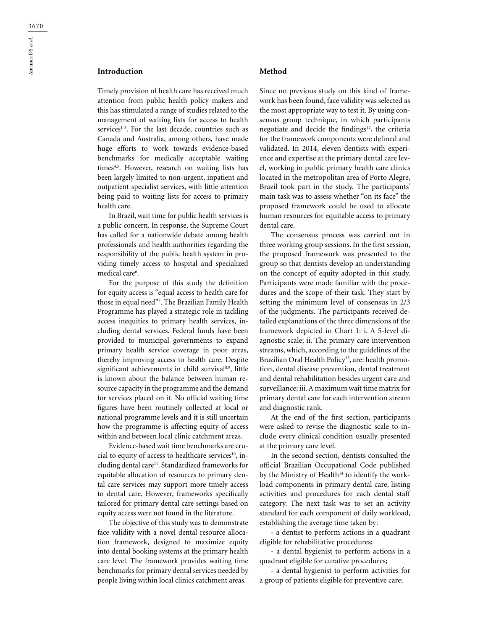# **Introduction**

Timely provision of health care has received much attention from public health policy makers and this has stimulated a range of studies related to the management of waiting lists for access to health services $1-3$ . For the last decade, countries such as Canada and Australia, among others, have made huge efforts to work towards evidence-based benchmarks for medically acceptable waiting times<sup>4,5</sup>. However, research on waiting lists has been largely limited to non-urgent, inpatient and outpatient specialist services, with little attention being paid to waiting lists for access to primary health care.

In Brazil, wait time for public health services is a public concern. In response, the Supreme Court has called for a nationwide debate among health professionals and health authorities regarding the responsibility of the public health system in providing timely access to hospital and specialized medical care<sup>6</sup>.

For the purpose of this study the definition for equity access is "equal access to health care for those in equal need"7 . The Brazilian Family Health Programme has played a strategic role in tackling access inequities to primary health services, including dental services. Federal funds have been provided to municipal governments to expand primary health service coverage in poor areas, thereby improving access to health care. Despite significant achievements in child survival<sup>8,9</sup>, little is known about the balance between human resource capacity in the programme and the demand for services placed on it. No official waiting time figures have been routinely collected at local or national programme levels and it is still uncertain how the programme is affecting equity of access within and between local clinic catchment areas.

Evidence-based wait time benchmarks are crucial to equity of access to healthcare services $10$ , including dental care<sup>11</sup>. Standardized frameworks for equitable allocation of resources to primary dental care services may support more timely access to dental care. However, frameworks specifically tailored for primary dental care settings based on equity access were not found in the literature.

The objective of this study was to demonstrate face validity with a novel dental resource allocation framework, designed to maximize equity into dental booking systems at the primary health care level. The framework provides waiting time benchmarks for primary dental services needed by people living within local clinics catchment areas.

## **Method**

Since no previous study on this kind of framework has been found, face validity was selected as the most appropriate way to test it. By using consensus group technique, in which participants negotiate and decide the findings<sup>12</sup>, the criteria for the framework components were defined and validated. In 2014, eleven dentists with experience and expertise at the primary dental care level, working in public primary health care clinics located in the metropolitan area of Porto Alegre, Brazil took part in the study. The participants' main task was to assess whether "on its face" the proposed framework could be used to allocate human resources for equitable access to primary dental care.

The consensus process was carried out in three working group sessions. In the first session, the proposed framework was presented to the group so that dentists develop an understanding on the concept of equity adopted in this study. Participants were made familiar with the procedures and the scope of their task. They start by setting the minimum level of consensus in 2/3 of the judgments. The participants received detailed explanations of the three dimensions of the framework depicted in Chart 1: i. A 5-level diagnostic scale; ii. The primary care intervention streams, which, according to the guidelines of the Brazilian Oral Health Policy<sup>13</sup>, are: health promotion, dental disease prevention, dental treatment and dental rehabilitation besides urgent care and surveillance; iii. A maximum wait time matrix for primary dental care for each intervention stream and diagnostic rank.

At the end of the first section, participants were asked to revise the diagnostic scale to include every clinical condition usually presented at the primary care level.

In the second section, dentists consulted the official Brazilian Occupational Code published by the Ministry of Health<sup>14</sup> to identify the workload components in primary dental care, listing activities and procedures for each dental staff category. The next task was to set an activity standard for each component of daily workload, establishing the average time taken by:

- a dentist to perform actions in a quadrant eligible for rehabilitative procedures;

- a dental hygienist to perform actions in a quadrant eligible for curative procedures;

- a dental hygienist to perform activities for a group of patients eligible for preventive care;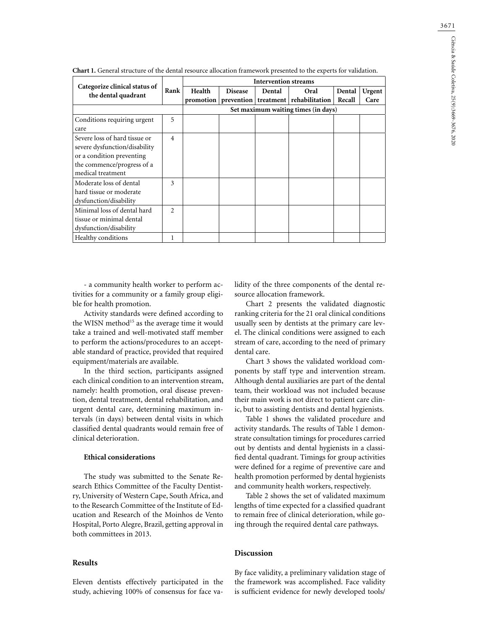|                                                                                                                                                |                | <b>Intervention streams</b> |                |        |                                                 |                  |                |
|------------------------------------------------------------------------------------------------------------------------------------------------|----------------|-----------------------------|----------------|--------|-------------------------------------------------|------------------|----------------|
| Categorize clinical status of<br>the dental quadrant                                                                                           | Rank           | Health<br>promotion         | <b>Disease</b> | Dental | Oral<br>prevention   treatment   rehabilitation | Dental<br>Recall | Urgent<br>Care |
|                                                                                                                                                |                |                             |                |        | Set maximum waiting times (in days)             |                  |                |
| Conditions requiring urgent<br>care                                                                                                            | 5              |                             |                |        |                                                 |                  |                |
| Severe loss of hard tissue or<br>severe dysfunction/disability<br>or a condition preventing<br>the commence/progress of a<br>medical treatment | $\overline{4}$ |                             |                |        |                                                 |                  |                |
| Moderate loss of dental<br>hard tissue or moderate<br>dysfunction/disability                                                                   | 3              |                             |                |        |                                                 |                  |                |
| Minimal loss of dental hard<br>tissue or minimal dental<br>dysfunction/disability                                                              | $\mathfrak{D}$ |                             |                |        |                                                 |                  |                |
| Healthy conditions                                                                                                                             |                |                             |                |        |                                                 |                  |                |

**Chart 1.** General structure of the dental resource allocation framework presented to the experts for validation.

- a community health worker to perform activities for a community or a family group eligible for health promotion.

Activity standards were defined according to the WISN method<sup>15</sup> as the average time it would take a trained and well-motivated staff member to perform the actions/procedures to an acceptable standard of practice, provided that required equipment/materials are available.

In the third section, participants assigned each clinical condition to an intervention stream, namely: health promotion, oral disease prevention, dental treatment, dental rehabilitation, and urgent dental care, determining maximum intervals (in days) between dental visits in which classified dental quadrants would remain free of clinical deterioration.

## **Ethical considerations**

The study was submitted to the Senate Research Ethics Committee of the Faculty Dentistry, University of Western Cape, South Africa, and to the Research Committee of the Institute of Education and Research of the Moinhos de Vento Hospital, Porto Alegre, Brazil, getting approval in both committees in 2013.

#### **Results**

Eleven dentists effectively participated in the study, achieving 100% of consensus for face validity of the three components of the dental resource allocation framework.

Chart 2 presents the validated diagnostic ranking criteria for the 21 oral clinical conditions usually seen by dentists at the primary care level. The clinical conditions were assigned to each stream of care, according to the need of primary dental care.

Chart 3 shows the validated workload components by staff type and intervention stream. Although dental auxiliaries are part of the dental team, their workload was not included because their main work is not direct to patient care clinic, but to assisting dentists and dental hygienists.

Table 1 shows the validated procedure and activity standards. The results of Table 1 demonstrate consultation timings for procedures carried out by dentists and dental hygienists in a classified dental quadrant. Timings for group activities were defined for a regime of preventive care and health promotion performed by dental hygienists and community health workers, respectively.

Table 2 shows the set of validated maximum lengths of time expected for a classified quadrant to remain free of clinical deterioration, while going through the required dental care pathways.

## **Discussion**

By face validity, a preliminary validation stage of the framework was accomplished. Face validity is sufficient evidence for newly developed tools/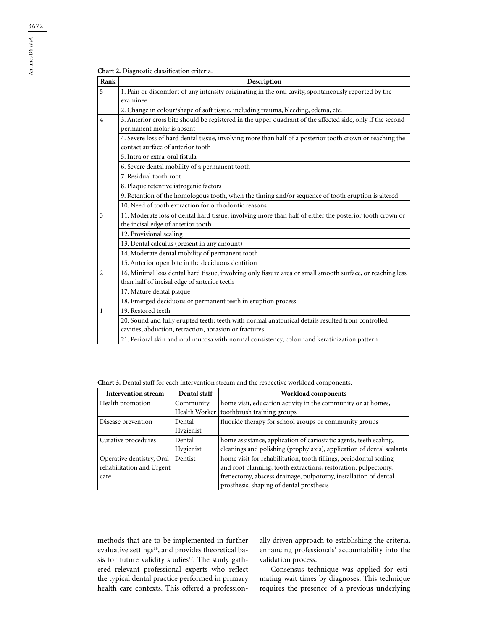| <b>Chart 2.</b> Diagnostic classification criteria. |  |  |  |  |
|-----------------------------------------------------|--|--|--|--|
|-----------------------------------------------------|--|--|--|--|

| Rank           | Description                                                                                                                                                |
|----------------|------------------------------------------------------------------------------------------------------------------------------------------------------------|
| 5              | 1. Pain or discomfort of any intensity originating in the oral cavity, spontaneously reported by the<br>examinee                                           |
|                | 2. Change in colour/shape of soft tissue, including trauma, bleeding, edema, etc.                                                                          |
| $\overline{4}$ | 3. Anterior cross bite should be registered in the upper quadrant of the affected side, only if the second<br>permanent molar is absent                    |
|                | 4. Severe loss of hard dental tissue, involving more than half of a posterior tooth crown or reaching the<br>contact surface of anterior tooth             |
|                | 5. Intra or extra-oral fistula                                                                                                                             |
|                | 6. Severe dental mobility of a permanent tooth                                                                                                             |
|                | 7. Residual tooth root                                                                                                                                     |
|                | 8. Plaque retentive iatrogenic factors                                                                                                                     |
|                | 9. Retention of the homologous tooth, when the timing and/or sequence of tooth eruption is altered                                                         |
|                | 10. Need of tooth extraction for orthodontic reasons                                                                                                       |
| 3              | 11. Moderate loss of dental hard tissue, involving more than half of either the posterior tooth crown or                                                   |
|                | the incisal edge of anterior tooth                                                                                                                         |
|                | 12. Provisional sealing                                                                                                                                    |
|                | 13. Dental calculus (present in any amount)                                                                                                                |
|                | 14. Moderate dental mobility of permanent tooth                                                                                                            |
|                | 15. Anterior open bite in the deciduous dentition                                                                                                          |
| $\overline{c}$ | 16. Minimal loss dental hard tissue, involving only fissure area or small smooth surface, or reaching less                                                 |
|                | than half of incisal edge of anterior teeth                                                                                                                |
|                | 17. Mature dental plaque                                                                                                                                   |
|                | 18. Emerged deciduous or permanent teeth in eruption process                                                                                               |
| $\mathbf{1}$   | 19. Restored teeth                                                                                                                                         |
|                | 20. Sound and fully erupted teeth; teeth with normal anatomical details resulted from controlled<br>cavities, abduction, retraction, abrasion or fractures |
|                | 21. Perioral skin and oral mucosa with normal consistency, colour and keratinization pattern                                                               |

**Chart 3.** Dental staff for each intervention stream and the respective workload components.

| <b>Intervention stream</b> | Dental staff  | Workload components                                                   |
|----------------------------|---------------|-----------------------------------------------------------------------|
| Health promotion           | Community     | home visit, education activity in the community or at homes,          |
|                            | Health Worker | toothbrush training groups                                            |
| Disease prevention         | Dental        | fluoride therapy for school groups or community groups                |
|                            | Hygienist     |                                                                       |
| Curative procedures        | Dental        | home assistance, application of cariostatic agents, teeth scaling,    |
|                            | Hygienist     | cleanings and polishing (prophylaxis), application of dental sealants |
| Operative dentistry, Oral  | Dentist       | home visit for rehabilitation, tooth fillings, periodontal scaling    |
| rehabilitation and Urgent  |               | and root planning, tooth extractions, restoration; pulpectomy,        |
| care                       |               | frenectomy, abscess drainage, pulpotomy, installation of dental       |
|                            |               | prosthesis, shaping of dental prosthesis                              |

methods that are to be implemented in further evaluative settings<sup>16</sup>, and provides theoretical basis for future validity studies<sup>17</sup>. The study gathered relevant professional experts who reflect the typical dental practice performed in primary health care contexts. This offered a professionally driven approach to establishing the criteria, enhancing professionals' accountability into the validation process.

Consensus technique was applied for estimating wait times by diagnoses. This technique requires the presence of a previous underlying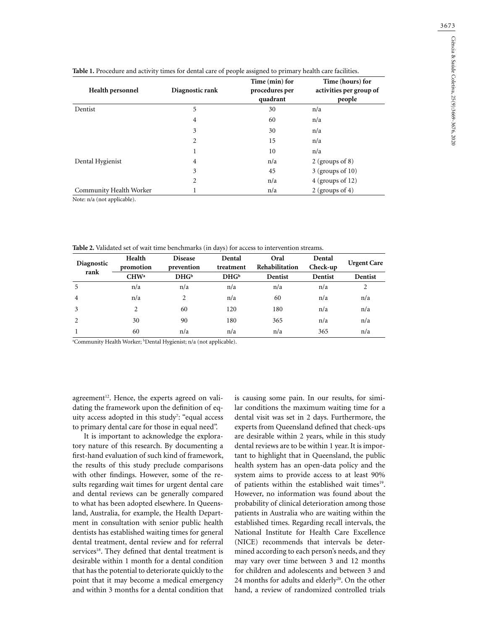| Health personnel        | Diagnostic rank | Time (min) for<br>procedures per<br>quadrant | Time (hours) for<br>activities per group of<br>people |  |
|-------------------------|-----------------|----------------------------------------------|-------------------------------------------------------|--|
| Dentist                 | 5               | 30                                           | n/a                                                   |  |
|                         | 4               | 60                                           | n/a                                                   |  |
|                         | 3               | 30                                           | n/a                                                   |  |
|                         | 2               | 15                                           | n/a                                                   |  |
|                         |                 | 10                                           | n/a                                                   |  |
| Dental Hygienist        | 4               | n/a                                          | $2$ (groups of 8)                                     |  |
|                         | 3               | 45                                           | $3$ (groups of 10)                                    |  |
|                         | 2               | n/a                                          | $4$ (groups of 12)                                    |  |
| Community Health Worker |                 | n/a                                          | 2 (groups of 4)                                       |  |

**Table 1.** Procedure and activity times for dental care of people assigned to primary health care facilities.

Note: n/a (not applicable).

**Table 2.** Validated set of wait time benchmarks (in days) for access to intervention streams.

| Diagnostic<br>rank | Health<br>promotion | <b>Disease</b><br>prevention | Dental<br>treatment | Oral<br>Rehabilitation | Dental<br>Check-up | <b>Urgent Care</b> |
|--------------------|---------------------|------------------------------|---------------------|------------------------|--------------------|--------------------|
|                    | CHW <sup>a</sup>    | DHG <sub>b</sub>             | DHG <sub>b</sub>    | Dentist                | Dentist            | Dentist            |
| 5                  | n/a                 | n/a                          | n/a                 | n/a                    | n/a                | 2                  |
| 4                  | n/a                 | $\overline{c}$               | n/a                 | 60                     | n/a                | n/a                |
| 3                  | $\mathfrak{D}$      | 60                           | 120                 | 180                    | n/a                | n/a                |
| $\mathfrak{D}$     | 30                  | 90                           | 180                 | 365                    | n/a                | n/a                |
|                    | 60                  | n/a                          | n/a                 | n/a                    | 365                | n/a                |

a Community Health Worker; b Dental Hygienist; n/a (not applicable).

agreement<sup>12</sup>. Hence, the experts agreed on validating the framework upon the definition of equity access adopted in this study?: "equal access to primary dental care for those in equal need".

It is important to acknowledge the exploratory nature of this research. By documenting a first-hand evaluation of such kind of framework, the results of this study preclude comparisons with other findings. However, some of the results regarding wait times for urgent dental care and dental reviews can be generally compared to what has been adopted elsewhere. In Queensland, Australia, for example, the Health Department in consultation with senior public health dentists has established waiting times for general dental treatment, dental review and for referral services<sup>18</sup>. They defined that dental treatment is desirable within 1 month for a dental condition that has the potential to deteriorate quickly to the point that it may become a medical emergency and within 3 months for a dental condition that is causing some pain. In our results, for similar conditions the maximum waiting time for a dental visit was set in 2 days. Furthermore, the experts from Queensland defined that check-ups are desirable within 2 years, while in this study dental reviews are to be within 1 year. It is important to highlight that in Queensland, the public health system has an open-data policy and the system aims to provide access to at least 90% of patients within the established wait times<sup>19</sup>. However, no information was found about the probability of clinical deterioration among those patients in Australia who are waiting within the established times. Regarding recall intervals, the National Institute for Health Care Excellence (NICE) recommends that intervals be determined according to each person's needs, and they may vary over time between 3 and 12 months for children and adolescents and between 3 and 24 months for adults and elderly<sup>20</sup>. On the other hand, a review of randomized controlled trials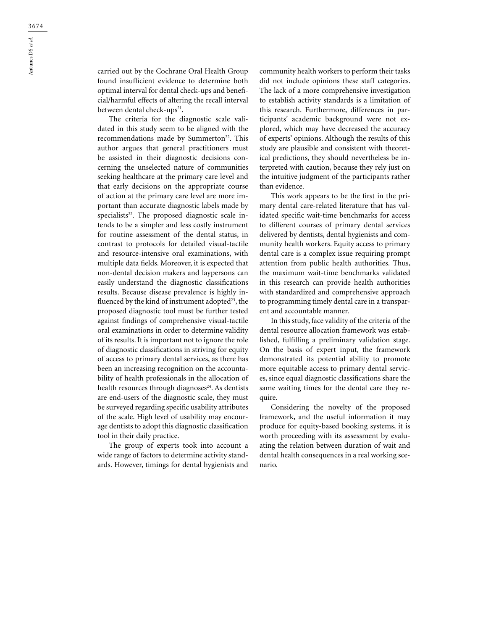carried out by the Cochrane Oral Health Group found insufficient evidence to determine both optimal interval for dental check-ups and beneficial/harmful effects of altering the recall interval between dental check-ups<sup>21</sup>.

The criteria for the diagnostic scale validated in this study seem to be aligned with the recommendations made by Summerton<sup>22</sup>. This author argues that general practitioners must be assisted in their diagnostic decisions concerning the unselected nature of communities seeking healthcare at the primary care level and that early decisions on the appropriate course of action at the primary care level are more important than accurate diagnostic labels made by specialists<sup>22</sup>. The proposed diagnostic scale intends to be a simpler and less costly instrument for routine assessment of the dental status, in contrast to protocols for detailed visual-tactile and resource-intensive oral examinations, with multiple data fields. Moreover, it is expected that non-dental decision makers and laypersons can easily understand the diagnostic classifications results. Because disease prevalence is highly influenced by the kind of instrument adopted<sup>23</sup>, the proposed diagnostic tool must be further tested against findings of comprehensive visual-tactile oral examinations in order to determine validity of its results. It is important not to ignore the role of diagnostic classifications in striving for equity of access to primary dental services, as there has been an increasing recognition on the accountability of health professionals in the allocation of health resources through diagnoses<sup>24</sup>. As dentists are end-users of the diagnostic scale, they must be surveyed regarding specific usability attributes of the scale. High level of usability may encourage dentists to adopt this diagnostic classification tool in their daily practice.

The group of experts took into account a wide range of factors to determine activity standards. However, timings for dental hygienists and community health workers to perform their tasks did not include opinions these staff categories. The lack of a more comprehensive investigation to establish activity standards is a limitation of this research. Furthermore, differences in participants' academic background were not explored, which may have decreased the accuracy of experts' opinions. Although the results of this study are plausible and consistent with theoretical predictions, they should nevertheless be interpreted with caution, because they rely just on the intuitive judgment of the participants rather than evidence.

This work appears to be the first in the primary dental care-related literature that has validated specific wait-time benchmarks for access to different courses of primary dental services delivered by dentists, dental hygienists and community health workers. Equity access to primary dental care is a complex issue requiring prompt attention from public health authorities. Thus, the maximum wait-time benchmarks validated in this research can provide health authorities with standardized and comprehensive approach to programming timely dental care in a transparent and accountable manner.

In this study, face validity of the criteria of the dental resource allocation framework was established, fulfilling a preliminary validation stage. On the basis of expert input, the framework demonstrated its potential ability to promote more equitable access to primary dental services, since equal diagnostic classifications share the same waiting times for the dental care they require.

Considering the novelty of the proposed framework, and the useful information it may produce for equity-based booking systems, it is worth proceeding with its assessment by evaluating the relation between duration of wait and dental health consequences in a real working scenario.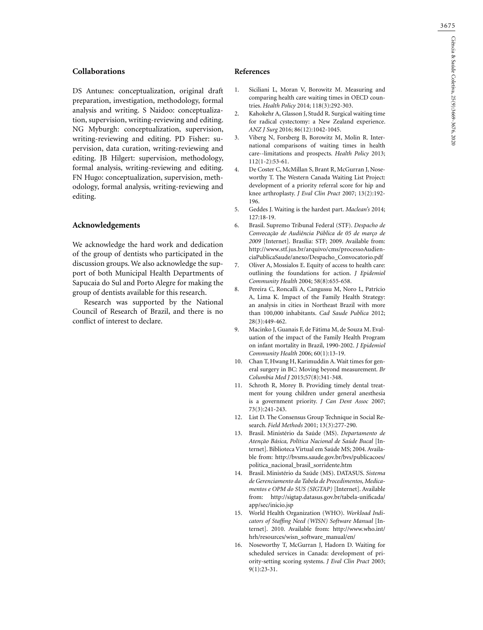## **Collaborations**

DS Antunes: conceptualization, original draft preparation, investigation, methodology, formal analysis and writing. S Naidoo: conceptualization, supervision, writing-reviewing and editing. NG Myburgh: conceptualization, supervision, writing-reviewing and editing. PD Fisher: supervision, data curation, writing-reviewing and editing. JB Hilgert: supervision, methodology, formal analysis, writing-reviewing and editing. FN Hugo: conceptualization, supervision, methodology, formal analysis, writing-reviewing and editing.

### **Acknowledgements**

We acknowledge the hard work and dedication of the group of dentists who participated in the discussion groups. We also acknowledge the support of both Municipal Health Departments of Sapucaia do Sul and Porto Alegre for making the group of dentists available for this research.

Research was supported by the National Council of Research of Brazil, and there is no conflict of interest to declare.

## **References**

- 1. Siciliani L, Moran V, Borowitz M. Measuring and comparing health care waiting times in OECD countries. *Health Policy* 2014; 118(3):292-303.
- 2. Kahokehr A, Glasson J, Studd R. Surgical waiting time for radical cystectomy: a New Zealand experience. *ANZ J Surg* 2016; 86(12):1042-1045.
- 3. Viberg N, Forsberg B, Borowitz M, Molin R. International comparisons of waiting times in health care--limitations and prospects. *Health Policy* 2013; 112(1-2):53-61.
- 4. De Coster C, McMillan S, Brant R, McGurran J, Noseworthy T. The Western Canada Waiting List Project: development of a priority referral score for hip and knee arthroplasty. *J Eval Clin Pract* 2007; 13(2):192- 196.
- 5. Geddes J. Waiting is the hardest part. *Maclean's* 2014; 127:18-19.
- 6. Brasil. Supremo Tribunal Federal (STF). *Despacho de Convocação de Audiência Pública de 05 de março de 2009* [Internet]. Brasília: STF; 2009. Available from: http://www.stf.jus.br/arquivo/cms/processoAudienciaPublicaSaude/anexo/Despacho\_Convocatorio.pdf
- 7. Oliver A, Mossialos E. Equity of access to health care: outlining the foundations for action. *J Epidemiol Community Health* 2004; 58(8):655-658.
- 8. Pereira C, Roncalli A, Cangussu M, Noro L, Patrício A, Lima K. Impact of the Family Health Strategy: an analysis in cities in Northeast Brazil with more than 100,000 inhabitants. *Cad Saude Publica* 2012; 28(3):449-462.
- 9. Macinko J, Guanais F, de Fátima M, de Souza M. Evaluation of the impact of the Family Health Program on infant mortality in Brazil, 1990-2002. *J Epidemiol Community Health* 2006; 60(1):13-19.
- 10. Chan T, Hwang H, Karimuddin A. Wait times for general surgery in BC: Moving beyond measurement. *Br Columbia Med J* 2015;57(8):341-348.
- 11. Schroth R, Morey B. Providing timely dental treatment for young children under general anesthesia is a government priority. *J Can Dent Assoc* 2007; 73(3):241-243.
- 12. List D. The Consensus Group Technique in Social Research. *Field Methods* 2001; 13(3):277-290.
- 13. Brasil. Ministério da Saúde (MS). *Departamento de Atenção Básica, Política Nacional de Saúde Bucal* [Internet]. Biblioteca Virtual em Saúde MS; 2004. Available from: http://bvsms.saude.gov.br/bvs/publicacoes/ politica\_nacional\_brasil\_sorridente.htm
- 14. Brasil. Ministério da Saúde (MS). DATASUS. *Sistema de Gerenciamento da Tabela de Procedimentos, Medicamentos e OPM do SUS (SIGTAP)* [Internet]. Available from: http://sigtap.datasus.gov.br/tabela-unificada/ app/sec/inicio.jsp
- 15. World Health Organization (WHO). *Workload Indicators of Staffing Need (WISN) Software Manual* [Internet]. 2010. Available from: http://www.who.int/ hrh/resources/wisn\_software\_manual/en/
- 16. Noseworthy T, McGurran J, Hadorn D. Waiting for scheduled services in Canada: development of priority-setting scoring systems. *J Eval Clin Pract* 2003; 9(1):23-31.